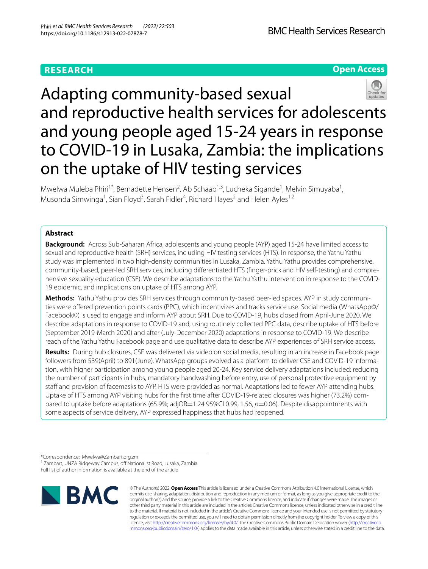# **RESEARCH**

## **Open Access**



Adapting community-based sexual and reproductive health services for adolescents and young people aged 15-24 years in response to COVID-19 in Lusaka, Zambia: the implications on the uptake of HIV testing services

Mwelwa Muleba Phiri<sup>1\*</sup>, Bernadette Hensen<sup>2</sup>, Ab Schaap<sup>1,3</sup>, Lucheka Sigande<sup>1</sup>, Melvin Simuyaba<sup>1</sup>, Musonda Simwinga<sup>1</sup>, Sian Floyd<sup>3</sup>, Sarah Fidler<sup>4</sup>, Richard Hayes<sup>2</sup> and Helen Ayles<sup>1,2</sup>

## **Abstract**

**Background:** Across Sub-Saharan Africa, adolescents and young people (AYP) aged 15-24 have limited access to sexual and reproductive health (SRH) services, including HIV testing services (HTS). In response, the Yathu Yathu study was implemented in two high-density communities in Lusaka, Zambia. Yathu Yathu provides comprehensive, community-based, peer-led SRH services, including diferentiated HTS (fnger-prick and HIV self-testing) and comprehensive sexuality education (CSE). We describe adaptations to the Yathu Yathu intervention in response to the COVID-19 epidemic, and implications on uptake of HTS among AYP.

**Methods:** Yathu Yathu provides SRH services through community-based peer-led spaces. AYP in study communities were offered prevention points cards (PPC), which incentivizes and tracks service use. Social media (WhatsApp©/ Facebook©) is used to engage and inform AYP about SRH. Due to COVID-19, hubs closed from April-June 2020. We describe adaptations in response to COVID-19 and, using routinely collected PPC data, describe uptake of HTS before (September 2019-March 2020) and after (July-December 2020) adaptations in response to COVID-19. We describe reach of the Yathu Yathu Facebook page and use qualitative data to describe AYP experiences of SRH service access.

**Results:** During hub closures, CSE was delivered via video on social media, resulting in an increase in Facebook page followers from 539(April) to 891(June). WhatsApp groups evolved as a platform to deliver CSE and COVID-19 information, with higher participation among young people aged 20-24. Key service delivery adaptations included: reducing the number of participants in hubs, mandatory handwashing before entry, use of personal protective equipment by staff and provision of facemasks to AYP. HTS were provided as normal. Adaptations led to fewer AYP attending hubs. Uptake of HTS among AYP visiting hubs for the frst time after COVID-19-related closures was higher (73.2%) compared to uptake before adaptations (65.9%; adjOR=1.24 95%CI 0.99, 1.56, *p*=0.06). Despite disappointments with some aspects of service delivery, AYP expressed happiness that hubs had reopened.

\*Correspondence: Mwelwa@Zambart.org.zm

Full list of author information is available at the end of the article



© The Author(s) 2022. **Open Access** This article is licensed under a Creative Commons Attribution 4.0 International License, which permits use, sharing, adaptation, distribution and reproduction in any medium or format, as long as you give appropriate credit to the original author(s) and the source, provide a link to the Creative Commons licence, and indicate if changes were made. The images or other third party material in this article are included in the article's Creative Commons licence, unless indicated otherwise in a credit line to the material. If material is not included in the article's Creative Commons licence and your intended use is not permitted by statutory regulation or exceeds the permitted use, you will need to obtain permission directly from the copyright holder. To view a copy of this licence, visit [http://creativecommons.org/licenses/by/4.0/.](http://creativecommons.org/licenses/by/4.0/) The Creative Commons Public Domain Dedication waiver ([http://creativeco](http://creativecommons.org/publicdomain/zero/1.0/) [mmons.org/publicdomain/zero/1.0/](http://creativecommons.org/publicdomain/zero/1.0/)) applies to the data made available in this article, unless otherwise stated in a credit line to the data.

<sup>&</sup>lt;sup>1</sup> Zambart, UNZA Ridgeway Campus, off Nationalist Road, Lusaka, Zambia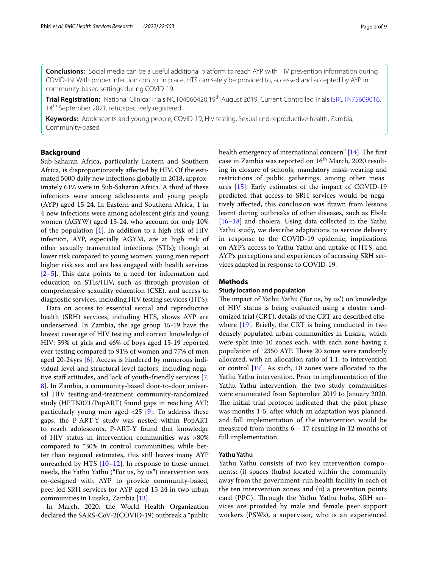**Conclusions:** Social media can be a useful additional platform to reach AYP with HIV prevention information during COVID-19. With proper infection control in place, HTS can safely be provided to, accessed and accepted by AYP in community-based settings during COVID-19.

Trial Registration: National Clinical Trials NCT04060420,19<sup>th</sup> August 2019. Current Controlled Trials [ISRCTN75609016,](https://doi.org/10.1186/ISRCTN75609016) 14<sup>th</sup> September 2021, retrospectively registered.

**Keywords:** Adolescents and young people, COVID-19, HIV testing, Sexual and reproductive health, Zambia, Community-based

## **Background**

Sub-Saharan Africa, particularly Eastern and Southern Africa, is disproportionately afected by HIV. Of the estimated 5000 daily new infections globally in 2018, approximately 61% were in Sub-Saharan Africa. A third of these infections were among adolescents and young people (AYP) aged 15-24. In Eastern and Southern Africa, 1 in 4 new infections were among adolescent girls and young women (AGYW) aged 15-24, who account for only 10% of the population [\[1](#page-7-0)]. In addition to a high risk of HIV infection, AYP, especially AGYM, are at high risk of other sexually transmitted infections (STIs); though at lower risk compared to young women, young men report higher risk sex and are less engaged with health services  $[2-5]$  $[2-5]$ . This data points to a need for information and education on STIs/HIV, such as through provision of comprehensive sexuality education (CSE), and access to diagnostic services, including HIV testing services (HTS).

Data on access to essential sexual and reproductive health (SRH) services, including HTS, shows AYP are underserved. In Zambia, the age group 15-19 have the lowest coverage of HIV testing and correct knowledge of HIV: 59% of girls and 46% of boys aged 15-19 reported ever testing compared to 91% of women and 77% of men aged 20-24yrs [\[6](#page-7-3)]. Access is hindered by numerous individual-level and structural-level factors, including nega-tive staff attitudes, and lack of youth-friendly services [\[7](#page-8-0), [8\]](#page-8-1). In Zambia, a community-based door-to-door universal HIV testing-and-treatment community-randomized study (HPTN071/PopART) found gaps in reaching AYP, particularly young men aged  $\langle 25 [9]$  $\langle 25 [9]$ . To address these gaps, the P-ART-Y study was nested within PopART to reach adolescents. P-ART-Y found that knowledge of HIV status in intervention communities was >80% compared to ˜30% in control communities; while better than regional estimates, this still leaves many AYP unreached by HTS  $[10-12]$  $[10-12]$  $[10-12]$ . In response to these unmet needs, the Yathu Yathu ("For us, by us") intervention was co-designed with AYP to provide community-based, peer-led SRH services for AYP aged 15-24 in two urban communities in Lusaka, Zambia [\[13\]](#page-8-5).

In March, 2020, the World Health Organization declared the SARS-CoV-2(COVID-19) outbreak a "public health emergency of international concern"  $[14]$ . The first case in Zambia was reported on  $16<sup>th</sup>$  March, 2020 resulting in closure of schools, mandatory mask-wearing and restrictions of public gatherings, among other measures [[15\]](#page-8-7). Early estimates of the impact of COVID-19 predicted that access to SRH services would be negatively afected, this conclusion was drawn from lessons learnt during outbreaks of other diseases, such as Ebola [[16–](#page-8-8)[18\]](#page-8-9) and cholera. Using data collected in the Yathu Yathu study, we describe adaptations to service delivery in response to the COVID-19 epidemic, implications on AYP's access to Yathu Yathu and uptake of HTS, and AYP's perceptions and experiences of accessing SRH services adapted in response to COVID-19.

## **Methods**

#### **Study location and population**

The impact of Yathu Yathu ('for us, by us') on knowledge of HIV status is being evaluated using a cluster randomized trial (CRT), details of the CRT are described elsewhere  $[19]$  $[19]$  $[19]$ . Briefly, the CRT is being conducted in two densely populated urban communities in Lusaka, which were split into 10 zones each, with each zone having a population of ~2350 AYP. These 20 zones were randomly allocated, with an allocation ratio of 1:1, to intervention or control [\[19](#page-8-10)]. As such, 10 zones were allocated to the Yathu Yathu intervention. Prior to implementation of the Yathu Yathu intervention, the two study communities were enumerated from September 2019 to January 2020. The initial trial protocol indicated that the pilot phase was months 1-5, after which an adaptation was planned, and full implementation of the intervention would be measured from months 6 – 17 resulting in 12 months of full implementation.

### **Yathu Yathu**

Yathu Yathu consists of two key intervention components: (i) spaces (hubs) located within the community away from the government-run health facility in each of the ten intervention zones and (ii) a prevention points card (PPC). Through the Yathu Yathu hubs, SRH services are provided by male and female peer support workers (PSWs), a supervisor, who is an experienced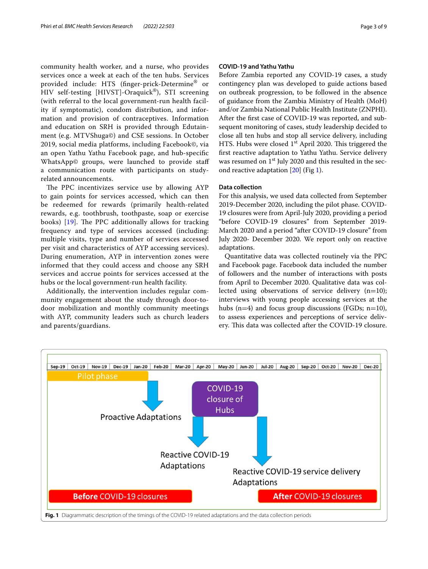community health worker, and a nurse, who provides services once a week at each of the ten hubs. Services provided include: HTS (fnger-prick-Determine® or HIV self-testing [HIVST]-Oraquick®), STI screening (with referral to the local government-run health facility if symptomatic), condom distribution, and information and provision of contraceptives. Information and education on SRH is provided through Edutainment (e.g. MTVShuga©) and CSE sessions. In October 2019, social media platforms, including Facebook©, via an open Yathu Yathu Facebook page, and hub-specifc WhatsApp© groups, were launched to provide staf a communication route with participants on studyrelated announcements.

The PPC incentivizes service use by allowing AYP to gain points for services accessed, which can then be redeemed for rewards (primarily health-related rewards, e.g. toothbrush, toothpaste, soap or exercise books)  $[19]$  $[19]$ . The PPC additionally allows for tracking frequency and type of services accessed (including: multiple visits, type and number of services accessed per visit and characteristics of AYP accessing services). During enumeration, AYP in intervention zones were informed that they could access and choose any SRH services and accrue points for services accessed at the hubs or the local government-run health facility.

Additionally, the intervention includes regular community engagement about the study through door-todoor mobilization and monthly community meetings with AYP, community leaders such as church leaders and parents/guardians.

## **COVID‑19 and Yathu Yathu**

Before Zambia reported any COVID-19 cases, a study contingency plan was developed to guide actions based on outbreak progression, to be followed in the absence of guidance from the Zambia Ministry of Health (MoH) and/or Zambia National Public Health Institute (ZNPHI). After the frst case of COVID-19 was reported, and subsequent monitoring of cases, study leadership decided to close all ten hubs and stop all service delivery, including HTS. Hubs were closed  $1<sup>st</sup>$  April 2020. This triggered the frst reactive adaptation to Yathu Yathu. Service delivery was resumed on 1<sup>st</sup> July 2020 and this resulted in the second reactive adaptation [\[20](#page-8-11)] (Fig [1](#page-2-0)).

## **Data collection**

For this analysis, we used data collected from September 2019-December 2020, including the pilot phase. COVID-19 closures were from April-July 2020, providing a period "before COVID-19 closures" from September 2019- March 2020 and a period "after COVID-19 closure" from July 2020- December 2020. We report only on reactive adaptations.

Quantitative data was collected routinely via the PPC and Facebook page. Facebook data included the number of followers and the number of interactions with posts from April to December 2020. Qualitative data was collected using observations of service delivery  $(n=10)$ ; interviews with young people accessing services at the hubs  $(n=4)$  and focus group discussions (FGDs; n=10), to assess experiences and perceptions of service delivery. This data was collected after the COVID-19 closure.

<span id="page-2-0"></span>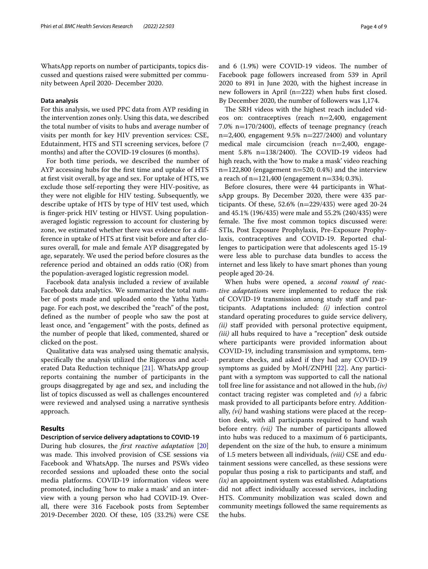WhatsApp reports on number of participants, topics discussed and questions raised were submitted per community between April 2020- December 2020.

## **Data analysis**

For this analysis, we used PPC data from AYP residing in the intervention zones only. Using this data, we described the total number of visits to hubs and average number of visits per month for key HIV prevention services: CSE, Edutainment, HTS and STI screening services, before (7 months) and after the COVID-19 closures (6 months).

For both time periods, we described the number of AYP accessing hubs for the frst time and uptake of HTS at frst visit overall, by age and sex. For uptake of HTS, we exclude those self-reporting they were HIV-positive, as they were not eligible for HIV testing. Subsequently, we describe uptake of HTS by type of HIV test used, which is fnger-prick HIV testing or HIVST. Using populationaveraged logistic regression to account for clustering by zone, we estimated whether there was evidence for a difference in uptake of HTS at frst visit before and after closures overall, for male and female AYP disaggregated by age, separately. We used the period before closures as the reference period and obtained an odds ratio (OR) from the population-averaged logistic regression model.

Facebook data analysis included a review of available Facebook data analytics. We summarized the total number of posts made and uploaded onto the Yathu Yathu page. For each post, we described the "reach" of the post, defned as the number of people who saw the post at least once, and "engagement" with the posts, defned as the number of people that liked, commented, shared or clicked on the post.

Qualitative data was analysed using thematic analysis, specifcally the analysis utilized the Rigorous and accelerated Data Reduction technique [\[21](#page-8-12)]. WhatsApp group reports containing the number of participants in the groups disaggregated by age and sex, and including the list of topics discussed as well as challenges encountered were reviewed and analysed using a narrative synthesis approach.

## **Results**

#### **Description of service delivery adaptations to COVID‑19**

During hub closures, the *frst reactive adaptation* [[20](#page-8-11)] was made. This involved provision of CSE sessions via Facebook and WhatsApp. The nurses and PSWs video recorded sessions and uploaded these onto the social media platforms. COVID-19 information videos were promoted, including 'how to make a mask' and an interview with a young person who had COVID-19. Overall, there were 316 Facebook posts from September 2019-December 2020. Of these, 105 (33.2%) were CSE and 6 (1.9%) were COVID-19 videos. The number of Facebook page followers increased from 539 in April 2020 to 891 in June 2020, with the highest increase in new followers in April (n=222) when hubs frst closed. By December 2020, the number of followers was 1,174.

The SRH videos with the highest reach included videos on: contraceptives (reach n=2,400, engagement 7.0% n=170/2400), efects of teenage pregnancy (reach  $n=2,400$ , engagement 9.5%  $n=227/2400$ ) and voluntary medical male circumcision (reach n=2,400, engagement 5.8% n=138/2400). The COVID-19 videos had high reach, with the 'how to make a mask' video reaching  $n=122,800$  (engagement  $n=520$ ; 0.4%) and the interview a reach of  $n=121,400$  (engagement  $n=334; 0.3%$ ).

Before closures, there were 44 participants in WhatsApp groups. By December 2020, there were 435 participants. Of these,  $52.6\%$  (n=229/435) were aged 20-24 and 45.1% (196/435) were male and 55.2% (240/435) were female. The five most common topics discussed were: STIs, Post Exposure Prophylaxis, Pre-Exposure Prophylaxis, contraceptives and COVID-19. Reported challenges to participation were that adolescents aged 15-19 were less able to purchase data bundles to access the internet and less likely to have smart phones than young people aged 20-24.

When hubs were opened, a *second round of reactive adaptation*s were implemented to reduce the risk of COVID-19 transmission among study staf and participants. Adaptations included: *(i)* infection control standard operating procedures to guide service delivery, *(ii)* staf provided with personal protective equipment, *(iii)* all hubs required to have a "reception" desk outside where participants were provided information about COVID-19, including transmission and symptoms, temperature checks, and asked if they had any COVID-19 symptoms as guided by MoH/ZNPHI [\[22](#page-8-13)]. Any participant with a symptom was supported to call the national toll free line for assistance and not allowed in the hub, *(iv)* contact tracing register was completed and *(v)* a fabric mask provided to all participants before entry. Additionally, *(vi)* hand washing stations were placed at the reception desk, with all participants required to hand wash before entry. *(vii)* The number of participants allowed into hubs was reduced to a maximum of 6 participants, dependent on the size of the hub, to ensure a minimum of 1.5 meters between all individuals, *(viii)* CSE and edutainment sessions were cancelled, as these sessions were popular thus posing a risk to participants and staf, and *(ix)* an appointment system was established. Adaptations did not afect individually accessed services, including HTS. Community mobilization was scaled down and community meetings followed the same requirements as the hubs.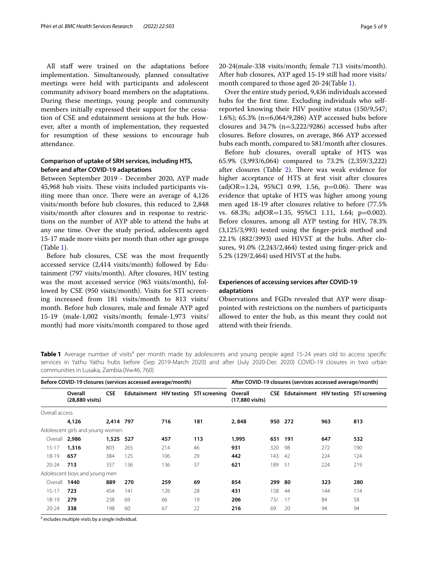All staff were trained on the adaptations before implementation. Simultaneously, planned consultative meetings were held with participants and adolescent community advisory board members on the adaptations. During these meetings, young people and community members initially expressed their support for the cessation of CSE and edutainment sessions at the hub. However, after a month of implementation, they requested for resumption of these sessions to encourage hub attendance.

## **Comparison of uptake of SRH services, including HTS, before and after COVID‑19 adaptations**

Between September 2019 - December 2020, AYP made 45,968 hub visits. These visits included participants visiting more than once. There were an average of 4,126 visits/month before hub closures, this reduced to 2,848 visits/month after closures and in response to restrictions on the number of AYP able to attend the hubs at any one time. Over the study period, adolescents aged 15-17 made more visits per month than other age groups (Table [1](#page-4-0)).

Before hub closures, CSE was the most frequently accessed service (2,414 visits/month) followed by Edutainment (797 visits/month). After closures, HIV testing was the most accessed service (963 visits/month), followed by CSE (950 visits/month). Visits for STI screening increased from 181 visits/month to 813 visits/ month. Before hub closures, male and female AYP aged 15-19 (male-1,002 visits/month; female-1,973 visits/ month) had more visits/month compared to those aged 20-24(male-338 visits/month; female 713 visits/month). After hub closures, AYP aged 15-19 still had more visits/ month compared to those aged 20-24(Table [1](#page-4-0)).

Over the entire study period, 9,436 individuals accessed hubs for the frst time. Excluding individuals who selfreported knowing their HIV positive status (150/9,547; 1.6%); 65.3% (n=6,064/9,286) AYP accessed hubs before closures and  $34.7\%$  (n=3,222/9286) accessed hubs after closures. Before closures, on average, 866 AYP accessed hubs each month, compared to 581/month after closures.

Before hub closures, overall uptake of HTS was 65.9% (3,993/6,064) compared to 73.2% (2,359/3,222) after closures (Table [2\)](#page-5-0). There was weak evidence for higher acceptance of HTS at frst visit after closures  $\alpha$ (adjOR=1.24, 95%CI 0.99, 1.56, p=0.06). There was evidence that uptake of HTS was higher among young men aged 18-19 after closures relative to before (77.5% vs. 68.3%; adjOR=1.35, 95%CI 1.11, 1.64; p=0.002). Before closures, among all AYP testing for HIV, 78.3% (3,125/3,993) tested using the fnger-prick method and 22.1% (882/3993) used HIVST at the hubs. After closures, 91.0% (2,243/2,464) tested using fnger-prick and 5.2% (129/2,464) used HIVST at the hubs.

## **Experiences of accessing services after COVID‑19 adaptations**

Observations and FGDs revealed that AYP were disappointed with restrictions on the numbers of participants allowed to enter the hub, as this meant they could not attend with their friends.

<span id="page-4-0"></span>Table 1 Average number of visits<sup>a</sup> per month made by adolescents and young people aged 15-24 years old to access specific services in Yathu Yathu hubs before (Sep 2019-March 2020) and after (July 2020-Dec 2020) COVID-19 closures in two urban communities in Lusaka, Zambia.(*N*=46, 760)

| Before COVID-19 closures (services accessed average/month) |                                  |            |     |     | After COVID-19 closures (services accessed average/month) |                            |            |                                       |     |     |
|------------------------------------------------------------|----------------------------------|------------|-----|-----|-----------------------------------------------------------|----------------------------|------------|---------------------------------------|-----|-----|
|                                                            | Overall<br>(28,880 visits)       | <b>CSE</b> |     |     | Edutainment HIV testing STI screening                     | Overall<br>(17,880 visits) | <b>CSE</b> | Edutainment HIV testing STI screening |     |     |
| Overall access                                             |                                  |            |     |     |                                                           |                            |            |                                       |     |     |
|                                                            | 4,126                            | 2,414 797  |     | 716 | 181                                                       | 2,848                      | 950        | 272                                   | 963 | 813 |
|                                                            | Adolescent girls and young women |            |     |     |                                                           |                            |            |                                       |     |     |
| Overall 2,986                                              |                                  | 1,525      | 527 | 457 | 113                                                       | 1,995                      | 651        | 191                                   | 647 | 532 |
| $15 - 17$                                                  | 1,316                            | 803        | 265 | 214 | 46                                                        | 931                        | 320        | 98                                    | 272 | 190 |
| $18 - 19$                                                  | 657                              | 384        | 125 | 106 | 29                                                        | 442                        | 143        | 42                                    | 224 | 124 |
| $20 - 24$                                                  | 713                              | 337        | 136 | 136 | 37                                                        | 621                        | 189        | 51                                    | 224 | 219 |
|                                                            | Adolescent boys and young men    |            |     |     |                                                           |                            |            |                                       |     |     |
| Overall                                                    | 1440                             | 889        | 270 | 259 | 69                                                        | 854                        | 299        | -80                                   | 323 | 280 |
| $15 - 17$                                                  | 723                              | 454        | 141 | 126 | 28                                                        | 431                        | 158        | 44                                    | 144 | 114 |
| $18 - 19$                                                  | 279                              | 238        | 69  | 66  | 19                                                        | 206                        | 73/        | 17                                    | 84  | 58  |
| $20 - 24$                                                  | 338                              | 198        | 60  | 67  | 22                                                        | 216                        | 69         | 20                                    | 94  | 94  |

<sup>a</sup> includes multiple visits by a single individual.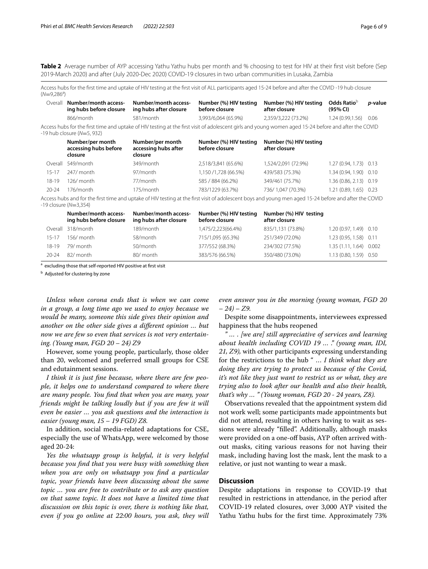<span id="page-5-0"></span>**Table 2** Average number of AYP accessing Yathu Yathu hubs per month and % choosing to test for HIV at their first visit before (Sep 2019-March 2020) and after (July 2020-Dec 2020) COVID-19 closures in two urban communities in Lusaka, Zambia

Access hubs for the frst time and uptake of HIV testing at the frst visit of ALL participants aged 15-24 before and after the COVID -19 hub closure (*N*=9,286<sup>a</sup>)

| Overall   | Number/month access-<br>ing hubs before closure                                                                          | Number/month access-<br>ing hubs after closure                                                                                                         | Number (%) HIV testing<br>before closure | Number (%) HIV testing<br>after closure | Odds Ratio <sup>b</sup><br>(95% CI) | <i>p</i> -value |
|-----------|--------------------------------------------------------------------------------------------------------------------------|--------------------------------------------------------------------------------------------------------------------------------------------------------|------------------------------------------|-----------------------------------------|-------------------------------------|-----------------|
|           | 866/month                                                                                                                | 581/month                                                                                                                                              | 3.993/6.064 (65.9%)                      | 2,359/3,222 (73.2%)                     | 1.24 (0.99.1.56)                    | 0.06            |
|           | -19 hub closure $(N=5, 932)$                                                                                             | Access hubs for the first time and uptake of HIV testing at the first visit of adolescent girls and young women aged 15-24 before and after the COVID  |                                          |                                         |                                     |                 |
|           | Number/per month<br>accessing hubs before<br>closure                                                                     | Number/per month<br>accessing hubs after<br>closure                                                                                                    | Number (%) HIV testing<br>before closure | Number (%) HIV testing<br>after closure |                                     |                 |
| Overall   | 549/month                                                                                                                | 349/month                                                                                                                                              | 2,518/3,841 (65.6%)                      | 1,524/2,091 (72.9%)                     | 1.27 (0.94, 1.73) 0.13              |                 |
| $15 - 17$ | 247/ month                                                                                                               | 97/month                                                                                                                                               | 1,150 /1,728 (66.5%)                     | 439/583 (75.3%)                         | 1.34 (0.94, 1.90) 0.10              |                 |
| 18-19     | $126/m$ onth                                                                                                             | 77/month                                                                                                                                               | 585 / 884 (66.2%)                        | 349/461 (75.7%)                         | 1.36 (0.86, 2.13) 0.19              |                 |
| $20 - 24$ | 176/month                                                                                                                | 175/month                                                                                                                                              | 783/1229 (63.7%)                         | 736/1,047 (70.3%)                       | 1.21 (0.89, 1.65) 0.23              |                 |
|           | $-19$ closure ( $N=3,354$ )                                                                                              | Access hubs and for the first time and uptake of HIV testing at the first visit of adolescent boys and young men aged 15-24 before and after the COVID |                                          |                                         |                                     |                 |
|           | Number/month access-<br>ing hubs before closure                                                                          | Number/month access-<br>ing hubs after closure                                                                                                         | Number (%) HIV testing<br>before closure | Number (%) HIV testing<br>after closure |                                     |                 |
|           | $\bigcap_{n \geq 1}$ and $\bigcap_{n \geq 1}$ and $\bigcap_{n \geq 1}$ and $\bigcap_{n \geq 1}$ and $\bigcap_{n \geq 1}$ | 1001                                                                                                                                                   | 1. $ATF/2221/77$ $AQ/2$                  | 0.257111217770011                       | 1.20 (0.071 (0) 0.10                |                 |

|           | Overall 318/month | 189/month | 1,475/2,223(66.4%) | 835/1,131 (73.8%) | $1.20(0.97, 1.49)$ 0.10 |  |
|-----------|-------------------|-----------|--------------------|-------------------|-------------------------|--|
| $15 - 17$ | 156/ month        | 58/month  | 715/1,095 (65.3%)  | 251/349 (72.0%)   | 1.23 (0.95, 1.58) 0.11  |  |
| 18-19     | 79/ month         | 50/month  | 377/552 (68.3%)    | 234/302 (77.5%)   | 1.35 (1.11, 1.64) 0.002 |  |
| $20 - 24$ | 82/ month         | 80/ month | 383/576 (66.5%)    | 350/480 (73.0%)   | 1.13 (0.80, 1.59) 0.50  |  |

<sup>a</sup> excluding those that self-reported HIV positive at first visit

<sup>b</sup> Adjusted for clustering by zone

*Unless when corona ends that is when we can come in a group, a long time ago we used to enjoy because we would be many, someone this side gives their opinion and another on the other side gives a diferent opinion … but now we are few so even that services is not very entertaining. (Young man, FGD 20 – 24) Z9*

However, some young people, particularly, those older than 20, welcomed and preferred small groups for CSE and edutainment sessions.

*I think it is just fne because, where there are few people, it helps one to understand compared to where there are many people. You fnd that when you are many, your friends might be talking loudly but if you are few it will even be easier … you ask questions and the interaction is easier (young man, 15 – 19 FGD) Z8.*

In addition, social media-related adaptations for CSE, especially the use of WhatsApp, were welcomed by those aged 20-24:

*Yes the whatsapp group is helpful, it is very helpful because you fnd that you were busy with something then when you are only on whatsapp you fnd a particular topic, your friends have been discussing about the same topic … you are free to contribute or to ask any question on that same topic. It does not have a limited time that discussion on this topic is over, there is nothing like that, even if you go online at 22:00 hours, you ask, they will*  *even answer you in the morning (young woman, FGD 20 – 24) – Z9.*

Despite some disappointments, interviewees expressed happiness that the hubs reopened

*" … . [we are] still appreciative of services and learning about health including COVID 19 … ." (young man, IDI, 21, Z9),* with other participants expressing understanding for the restrictions to the hub " … *I think what they are doing they are trying to protect us because of the Covid, it's not like they just want to restrict us or what, they are trying also to look after our health and also their health, that's why … " (Young woman, FGD 20 - 24 years, Z8).*

Observations revealed that the appointment system did not work well; some participants made appointments but did not attend, resulting in others having to wait as sessions were already "flled". Additionally, although masks were provided on a one-off basis, AYP often arrived without masks, citing various reasons for not having their mask, including having lost the mask, lent the mask to a relative, or just not wanting to wear a mask.

#### **Discussion**

Despite adaptations in response to COVID-19 that resulted in restrictions in attendance, in the period after COVID-19 related closures, over 3,000 AYP visited the Yathu Yathu hubs for the frst time. Approximately 73%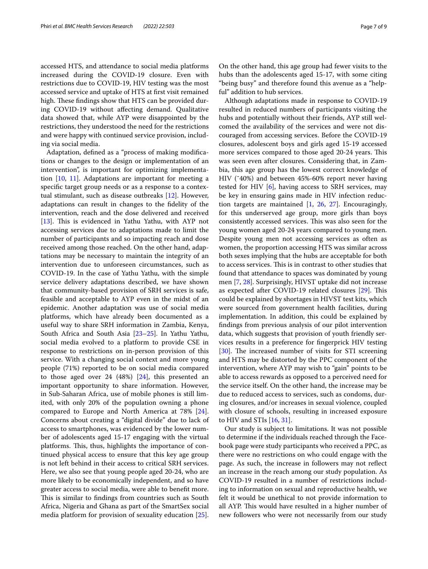accessed HTS, and attendance to social media platforms increased during the COVID-19 closure. Even with restrictions due to COVID-19, HIV testing was the most accessed service and uptake of HTS at frst visit remained high. These findings show that HTS can be provided during COVID-19 without afecting demand. Qualitative data showed that, while AYP were disappointed by the restrictions, they understood the need for the restrictions and were happy with continued service provision, including via social media.

Adaptation, defned as a "process of making modifcations or changes to the design or implementation of an intervention", is important for optimizing implementation [[10](#page-8-3), [11\]](#page-8-14). Adaptations are important for meeting a specifc target group needs or as a response to a contextual stimulant, such as disease outbreaks [\[12](#page-8-4)]. However, adaptations can result in changes to the fdelity of the intervention, reach and the dose delivered and received [[13\]](#page-8-5). This is evidenced in Yathu Yathu, with AYP not accessing services due to adaptations made to limit the number of participants and so impacting reach and dose received among those reached. On the other hand, adaptations may be necessary to maintain the integrity of an intervention due to unforeseen circumstances, such as COVID-19. In the case of Yathu Yathu, with the simple service delivery adaptations described, we have shown that community-based provision of SRH services is safe, feasible and acceptable to AYP even in the midst of an epidemic. Another adaptation was use of social media platforms, which have already been documented as a useful way to share SRH information in Zambia, Kenya, South Africa and South Asia [\[23](#page-8-15)[–25](#page-8-16)]. In Yathu Yathu, social media evolved to a platform to provide CSE in response to restrictions on in-person provision of this service. With a changing social context and more young people (71%) reported to be on social media compared to those aged over 24 (48%) [\[24](#page-8-17)], this presented an important opportunity to share information. However, in Sub-Saharan Africa, use of mobile phones is still limited, with only 20% of the population owning a phone compared to Europe and North America at 78% [\[24](#page-8-17)]. Concerns about creating a "digital divide" due to lack of access to smartphones, was evidenced by the lower number of adolescents aged 15-17 engaging with the virtual platforms. This, thus, highlights the importance of continued physical access to ensure that this key age group is not left behind in their access to critical SRH services. Here, we also see that young people aged 20-24, who are more likely to be economically independent, and so have greater access to social media, were able to beneft more. This is similar to findings from countries such as South Africa, Nigeria and Ghana as part of the SmartSex social media platform for provision of sexuality education [\[25](#page-8-16)].

On the other hand, this age group had fewer visits to the hubs than the adolescents aged 15-17, with some citing "being busy" and therefore found this avenue as a "helpful" addition to hub services.

Although adaptations made in response to COVID-19 resulted in reduced numbers of participants visiting the hubs and potentially without their friends, AYP still welcomed the availability of the services and were not discouraged from accessing services. Before the COVID-19 closures, adolescent boys and girls aged 15-19 accessed more services compared to those aged 20-24 years. This was seen even after closures. Considering that, in Zambia, this age group has the lowest correct knowledge of HIV (˜40%) and between 45%-60% report never having tested for HIV [[6\]](#page-7-3), having access to SRH services, may be key in ensuring gains made in HIV infection reduction targets are maintained [[1,](#page-7-0) [26](#page-8-18), [27](#page-8-19)]. Encouragingly, for this underserved age group, more girls than boys consistently accessed services. This was also seen for the young women aged 20-24 years compared to young men. Despite young men not accessing services as often as women, the proportion accessing HTS was similar across both sexes implying that the hubs are acceptable for both to access services. This is in contrast to other studies that found that attendance to spaces was dominated by young men [[7,](#page-8-0) [28](#page-8-20)]. Surprisingly, HIVST uptake did not increase as expected after COVID-19 related closures [[29\]](#page-8-21). This could be explained by shortages in HIVST test kits, which were sourced from government health facilities, during implementation. In addition, this could be explained by fndings from previous analysis of our pilot intervention data, which suggests that provision of youth friendly services results in a preference for fngerprick HIV testing [[30\]](#page-8-22). The increased number of visits for STI screening and HTS may be distorted by the PPC component of the intervention, where AYP may wish to "gain" points to be able to access rewards as opposed to a perceived need for the service itself. On the other hand, the increase may be due to reduced access to services, such as condoms, during closures, and/or increases in sexual violence, coupled with closure of schools, resulting in increased exposure to HIV and STIs [\[16,](#page-8-8) [31](#page-8-23)].

Our study is subject to limitations. It was not possible to determine if the individuals reached through the Facebook page were study participants who received a PPC, as there were no restrictions on who could engage with the page. As such, the increase in followers may not refect an increase in the reach among our study population. As COVID-19 resulted in a number of restrictions including to information on sexual and reproductive health, we felt it would be unethical to not provide information to all AYP. This would have resulted in a higher number of new followers who were not necessarily from our study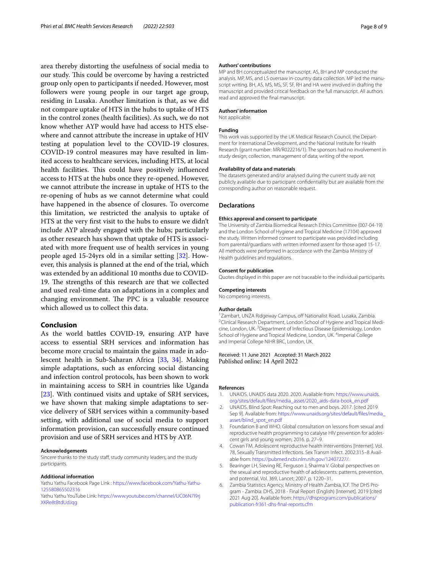area thereby distorting the usefulness of social media to our study. This could be overcome by having a restricted group only open to participants if needed. However, most followers were young people in our target age group, residing in Lusaka. Another limitation is that, as we did not compare uptake of HTS in the hubs to uptake of HTS in the control zones (health facilities). As such, we do not know whether AYP would have had access to HTS elsewhere and cannot attribute the increase in uptake of HIV testing at population level to the COVID-19 closures. COVID-19 control measures may have resulted in limited access to healthcare services, including HTS, at local health facilities. This could have positively influenced access to HTS at the hubs once they re-opened. However, we cannot attribute the increase in uptake of HTS to the re-opening of hubs as we cannot determine what could have happened in the absence of closures. To overcome this limitation, we restricted the analysis to uptake of HTS at the very frst visit to the hubs to ensure we didn't include AYP already engaged with the hubs; particularly as other research has shown that uptake of HTS is associated with more frequent use of health services in young people aged 15-24yrs old in a similar setting [[32\]](#page-8-24). However, this analysis is planned at the end of the trial, which was extended by an additional 10 months due to COVID-19. The strengths of this research are that we collected and used real-time data on adaptations in a complex and changing environment. The PPC is a valuable resource which allowed us to collect this data.

## **Conclusion**

As the world battles COVID-19, ensuring AYP have access to essential SRH services and information has become more crucial to maintain the gains made in adolescent health in Sub-Saharan Africa [\[33](#page-8-25), [34](#page-8-26)]. Making simple adaptations, such as enforcing social distancing and infection control protocols, has been shown to work in maintaining access to SRH in countries like Uganda [[23\]](#page-8-15). With continued visits and uptake of SRH services, we have shown that making simple adaptations to service delivery of SRH services within a community-based setting, with additional use of social media to support information provision, can successfully ensure continued provision and use of SRH services and HTS by AYP.

#### **Acknowledgements**

Sincere thanks to the study staf, study community leaders, and the study participants.

#### **Additional information**

Yathu Yathu Facebook Page Link : [https://www.facebook.com/Yathu-Yathu-](https://www.facebook.com/Yathu-Yathu-125580865502316)[125580865502316](https://www.facebook.com/Yathu-Yathu-125580865502316)

Yathu Yathu YouTube Link: [https://www.youtube.com/channel/UC06N7l9rj](https://www.youtube.com/channel/UC06N7l9rjXKRe8tBtdUdJqg) [XKRe8tBtdUdJqg](https://www.youtube.com/channel/UC06N7l9rjXKRe8tBtdUdJqg)

#### **Authors' contributions**

MP and BH conceptualized the manuscript. AS, BH and MP conducted the analysis. MP, MS, and LS oversaw in-country data collection. MP led the manuscript writing. BH, AS, MS, MS, SF, SF, RH and HA were involved in drafting the manuscript and provided critical feedback on the full manuscript. All authors read and approved the fnal manuscript.

#### **Authors' information**

Not applicable.

#### **Funding**

This work was supported by the UK Medical Research Council, the Department for International Development, and the National Institute for Health Research (grant number: MR/R022216/1). The sponsors had no involvement in study design; collection, management of data; writing of the report.

#### **Availability of data and materials**

The datasets generated and/or analysed during the current study are not publicly available due to participant confdentiality but are available from the corresponding author on reasonable request.

#### **Declarations**

#### **Ethics approval and consent to participate**

The University of Zambia Biomedical Research Ethics Committee (007-04-19) and the London School of Hygiene and Tropical Medicine (17104) approved the study. Written informed consent to participate was provided including from parental/guardians with written informed assent for those aged 15-17. All methods were performed in accordance with the Zambia Ministry of Health guidelines and regulations.

#### **Consent for publication**

Quotes displayed in this paper are not traceable to the individual participants.

#### **Competing interests**

No competing interests.

#### **Author details**

<sup>1</sup> Zambart, UNZA Ridgeway Campus, off Nationalist Road, Lusaka, Zambia. <sup>2</sup> Clinical Research Department, London School of Hygiene and Tropical Medicine, London, UK.<sup>3</sup> Department of Infectious Disease Epidemiology, London School of Hygiene and Tropical Medicine, London, UK. <sup>4</sup>Imperial College and Imperial College NIHR BRC, London, UK.

#### Received: 11 June 2021 Accepted: 31 March 2022 Published online: 14 April 2022

#### **References**

- <span id="page-7-0"></span>1. UNAIDS. UNAIDS data 2020. 2020. Available from: [https://www.unaids.](https://www.unaids.org/sites/default/files/media_asset/2020_aids-data-book_en.pdf) [org/sites/default/fles/media\\_asset/2020\\_aids-data-book\\_en.pdf](https://www.unaids.org/sites/default/files/media_asset/2020_aids-data-book_en.pdf)
- <span id="page-7-1"></span>2. UNAIDS. Blind Spot: Reaching out to men and boys. 2017. [cited 2019 Sep 9]. Available from: [https://www.unaids.org/sites/default/fles/media\\_](https://www.unaids.org/sites/default/files/media_asset/blind_spot_en.pdf) [asset/blind\\_spot\\_en.pdf](https://www.unaids.org/sites/default/files/media_asset/blind_spot_en.pdf)
- 3. Foundation B and WHO. Global consultation on lessons from sexual and reproductive health programming to catalyse HIV prevention for adolescent girls and young women; 2016. p. 27–9.
- 4. Cowan FM. Adolescent reproductive health interventions [Internet]. Vol. 78, Sexually Transmitted Infections. Sex Transm Infect. 2002:315–8 Available from:<https://pubmed.ncbi.nlm.nih.gov/12407227/>.
- <span id="page-7-2"></span>5. Bearinger LH, Sieving RE, Ferguson J, Sharma V. Global perspectives on the sexual and reproductive health of adolescents: patterns, prevention, and potential. Vol. 369, Lancet; 2007. p. 1220–31.
- <span id="page-7-3"></span>6. Zambia Statistics Agency, Ministry of Health Zambia, ICF. The DHS Program - Zambia: DHS, 2018 - Final Report (English) [Internet]. 2019 [cited 2021 Aug 20]. Available from: [https://dhsprogram.com/publications/](https://dhsprogram.com/publications/publication-fr361-dhs-final-reports.cfm) [publication-fr361-dhs-fnal-reports.cfm](https://dhsprogram.com/publications/publication-fr361-dhs-final-reports.cfm)